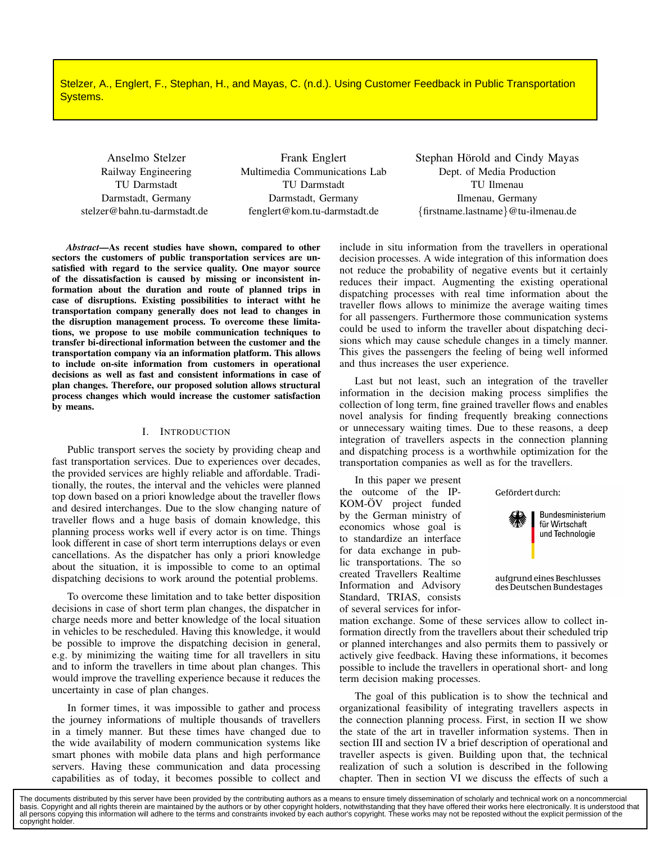using Customer Feedback in Customer Feedback in Public Transportation<br>Stelzer, A., Englert, F., Stephan, H., and Mayas, C. (n.d.). Using Customer Feedback in Public Transportation Systems, Song S Systems.

Anselmo Stelzer Railway Engineering TU Darmstadt Darmstadt, Germany stelzer@bahn.tu-darmstadt.de

Frank Englert Multimedia Communications Lab TU Darmstadt Darmstadt, Germany fenglert@kom.tu-darmstadt.de

Stephan Hörold and Cindy Mayas Dept. of Media Production TU Ilmenau Ilmenau, Germany {firstname.lastname}@tu-ilmenau.de

*Abstract*—As recent studies have shown, compared to other sectors the customers of public transportation services are unsatisfied with regard to the service quality. One mayor source of the dissatisfaction is caused by missing or inconsistent information about the duration and route of planned trips in case of disruptions. Existing possibilities to interact witht he transportation company generally does not lead to changes in the disruption management process. To overcome these limitations, we propose to use mobile communication techniques to transfer bi-directional information between the customer and the transportation company via an information platform. This allows to include on-site information from customers in operational decisions as well as fast and consistent informations in case of plan changes. Therefore, our proposed solution allows structural process changes which would increase the customer satisfaction by means.

### I. INTRODUCTION

Public transport serves the society by providing cheap and fast transportation services. Due to experiences over decades, the provided services are highly reliable and affordable. Traditionally, the routes, the interval and the vehicles were planned top down based on a priori knowledge about the traveller flows and desired interchanges. Due to the slow changing nature of traveller flows and a huge basis of domain knowledge, this planning process works well if every actor is on time. Things look different in case of short term interruptions delays or even cancellations. As the dispatcher has only a priori knowledge about the situation, it is impossible to come to an optimal dispatching decisions to work around the potential problems.

To overcome these limitation and to take better disposition decisions in case of short term plan changes, the dispatcher in charge needs more and better knowledge of the local situation in vehicles to be rescheduled. Having this knowledge, it would be possible to improve the dispatching decision in general, e.g. by minimizing the waiting time for all travellers in situ and to inform the travellers in time about plan changes. This would improve the travelling experience because it reduces the uncertainty in case of plan changes.

In former times, it was impossible to gather and process the journey informations of multiple thousands of travellers in a timely manner. But these times have changed due to the wide availability of modern communication systems like smart phones with mobile data plans and high performance servers. Having these communication and data processing capabilities as of today, it becomes possible to collect and include in situ information from the travellers in operational decision processes. A wide integration of this information does not reduce the probability of negative events but it certainly reduces their impact. Augmenting the existing operational dispatching processes with real time information about the traveller flows allows to minimize the average waiting times for all passengers. Furthermore those communication systems could be used to inform the traveller about dispatching decisions which may cause schedule changes in a timely manner. This gives the passengers the feeling of being well informed and thus increases the user experience.

Last but not least, such an integration of the traveller information in the decision making process simplifies the collection of long term, fine grained traveller flows and enables novel analysis for finding frequently breaking connections or unnecessary waiting times. Due to these reasons, a deep integration of travellers aspects in the connection planning and dispatching process is a worthwhile optimization for the transportation companies as well as for the travellers.

In this paper we present the outcome of the IP-KOM-ÖV project funded by the German ministry of economics whose goal is to standardize an interface for data exchange in public transportations. The so created Travellers Realtime Information and Advisory Standard, TRIAS, consists of several services for infor-

mation exchange. Some of these services allow to collect information directly from the travellers about their scheduled trip or planned interchanges and also permits them to passively or actively give feedback. Having these informations, it becomes possible to include the travellers in operational short- and long term decision making processes.

The goal of this publication is to show the technical and organizational feasibility of integrating travellers aspects in the connection planning process. First, in section II we show the state of the art in traveller information systems. Then in section III and section IV a brief description of operational and traveller aspects is given. Building upon that, the technical realization of such a solution is described in the following chapter. Then in section VI we discuss the effects of such a

The documents distributed by this server have been provided by the contributing authors as a means to ensure timely dissemination of scholarly and technical work on a noncommercial basis. Copyright and all rights therein are maintained by the authors or by other copyright holders, notwithstanding that they have offered their works here electronically. It is understood that<br>all persons copying this in copyright holder.



Bundesministerium

Gefördert durch:

aufgrund eines Beschlusses des Deutschen Bundestages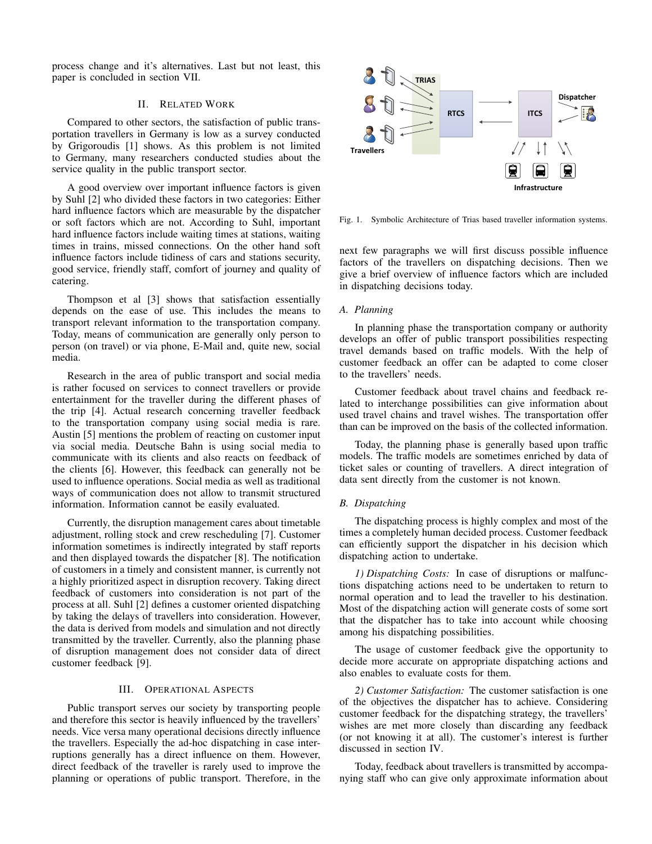process change and it's alternatives. Last but not least, this paper is concluded in section VII.

## II. RELATED WORK

Compared to other sectors, the satisfaction of public transportation travellers in Germany is low as a survey conducted by Grigoroudis [1] shows. As this problem is not limited to Germany, many researchers conducted studies about the service quality in the public transport sector.

A good overview over important influence factors is given by Suhl [2] who divided these factors in two categories: Either hard influence factors which are measurable by the dispatcher or soft factors which are not. According to Suhl, important hard influence factors include waiting times at stations, waiting times in trains, missed connections. On the other hand soft influence factors include tidiness of cars and stations security, good service, friendly staff, comfort of journey and quality of catering.

Thompson et al [3] shows that satisfaction essentially depends on the ease of use. This includes the means to transport relevant information to the transportation company. Today, means of communication are generally only person to person (on travel) or via phone, E-Mail and, quite new, social media.

Research in the area of public transport and social media is rather focused on services to connect travellers or provide entertainment for the traveller during the different phases of the trip [4]. Actual research concerning traveller feedback to the transportation company using social media is rare. Austin [5] mentions the problem of reacting on customer input via social media. Deutsche Bahn is using social media to communicate with its clients and also reacts on feedback of the clients [6]. However, this feedback can generally not be used to influence operations. Social media as well as traditional ways of communication does not allow to transmit structured information. Information cannot be easily evaluated.

Currently, the disruption management cares about timetable adjustment, rolling stock and crew rescheduling [7]. Customer information sometimes is indirectly integrated by staff reports and then displayed towards the dispatcher [8]. The notification of customers in a timely and consistent manner, is currently not a highly prioritized aspect in disruption recovery. Taking direct feedback of customers into consideration is not part of the process at all. Suhl [2] defines a customer oriented dispatching by taking the delays of travellers into consideration. However, the data is derived from models and simulation and not directly transmitted by the traveller. Currently, also the planning phase of disruption management does not consider data of direct customer feedback [9].

## III. OPERATIONAL ASPECTS

Public transport serves our society by transporting people and therefore this sector is heavily influenced by the travellers' needs. Vice versa many operational decisions directly influence the travellers. Especially the ad-hoc dispatching in case interruptions generally has a direct influence on them. However, direct feedback of the traveller is rarely used to improve the planning or operations of public transport. Therefore, in the



Fig. 1. Symbolic Architecture of Trias based traveller information systems.

next few paragraphs we will first discuss possible influence factors of the travellers on dispatching decisions. Then we give a brief overview of influence factors which are included in dispatching decisions today.

## *A. Planning*

In planning phase the transportation company or authority develops an offer of public transport possibilities respecting travel demands based on traffic models. With the help of customer feedback an offer can be adapted to come closer to the travellers' needs.

Customer feedback about travel chains and feedback related to interchange possibilities can give information about used travel chains and travel wishes. The transportation offer than can be improved on the basis of the collected information.

Today, the planning phase is generally based upon traffic models. The traffic models are sometimes enriched by data of ticket sales or counting of travellers. A direct integration of data sent directly from the customer is not known.

# *B. Dispatching*

The dispatching process is highly complex and most of the times a completely human decided process. Customer feedback can efficiently support the dispatcher in his decision which dispatching action to undertake.

*1) Dispatching Costs:* In case of disruptions or malfunctions dispatching actions need to be undertaken to return to normal operation and to lead the traveller to his destination. Most of the dispatching action will generate costs of some sort that the dispatcher has to take into account while choosing among his dispatching possibilities.

The usage of customer feedback give the opportunity to decide more accurate on appropriate dispatching actions and also enables to evaluate costs for them.

*2) Customer Satisfaction:* The customer satisfaction is one of the objectives the dispatcher has to achieve. Considering customer feedback for the dispatching strategy, the travellers' wishes are met more closely than discarding any feedback (or not knowing it at all). The customer's interest is further discussed in section IV.

Today, feedback about travellers is transmitted by accompanying staff who can give only approximate information about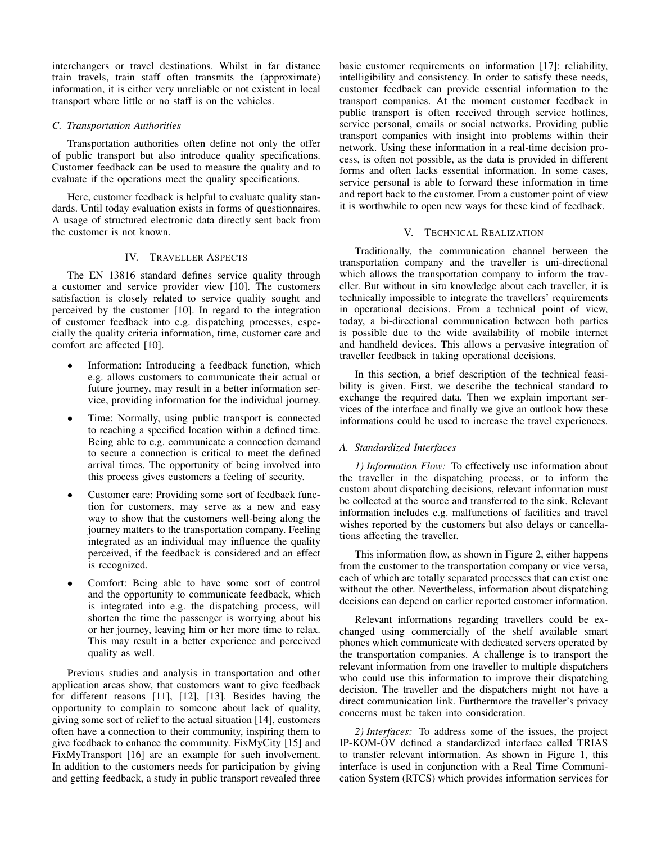interchangers or travel destinations. Whilst in far distance train travels, train staff often transmits the (approximate) information, it is either very unreliable or not existent in local transport where little or no staff is on the vehicles.

# *C. Transportation Authorities*

Transportation authorities often define not only the offer of public transport but also introduce quality specifications. Customer feedback can be used to measure the quality and to evaluate if the operations meet the quality specifications.

Here, customer feedback is helpful to evaluate quality standards. Until today evaluation exists in forms of questionnaires. A usage of structured electronic data directly sent back from the customer is not known.

# IV. TRAVELLER ASPECTS

The EN 13816 standard defines service quality through a customer and service provider view [10]. The customers satisfaction is closely related to service quality sought and perceived by the customer [10]. In regard to the integration of customer feedback into e.g. dispatching processes, especially the quality criteria information, time, customer care and comfort are affected [10].

- Information: Introducing a feedback function, which e.g. allows customers to communicate their actual or future journey, may result in a better information service, providing information for the individual journey.
- Time: Normally, using public transport is connected to reaching a specified location within a defined time. Being able to e.g. communicate a connection demand to secure a connection is critical to meet the defined arrival times. The opportunity of being involved into this process gives customers a feeling of security.
- Customer care: Providing some sort of feedback function for customers, may serve as a new and easy way to show that the customers well-being along the journey matters to the transportation company. Feeling integrated as an individual may influence the quality perceived, if the feedback is considered and an effect is recognized.
- Comfort: Being able to have some sort of control and the opportunity to communicate feedback, which is integrated into e.g. the dispatching process, will shorten the time the passenger is worrying about his or her journey, leaving him or her more time to relax. This may result in a better experience and perceived quality as well.

Previous studies and analysis in transportation and other application areas show, that customers want to give feedback for different reasons [11], [12], [13]. Besides having the opportunity to complain to someone about lack of quality, giving some sort of relief to the actual situation [14], customers often have a connection to their community, inspiring them to give feedback to enhance the community. FixMyCity [15] and FixMyTransport [16] are an example for such involvement. In addition to the customers needs for participation by giving and getting feedback, a study in public transport revealed three basic customer requirements on information [17]: reliability, intelligibility and consistency. In order to satisfy these needs, customer feedback can provide essential information to the transport companies. At the moment customer feedback in public transport is often received through service hotlines, service personal, emails or social networks. Providing public transport companies with insight into problems within their network. Using these information in a real-time decision process, is often not possible, as the data is provided in different forms and often lacks essential information. In some cases, service personal is able to forward these information in time and report back to the customer. From a customer point of view it is worthwhile to open new ways for these kind of feedback.

## V. TECHNICAL REALIZATION

Traditionally, the communication channel between the transportation company and the traveller is uni-directional which allows the transportation company to inform the traveller. But without in situ knowledge about each traveller, it is technically impossible to integrate the travellers' requirements in operational decisions. From a technical point of view, today, a bi-directional communication between both parties is possible due to the wide availability of mobile internet and handheld devices. This allows a pervasive integration of traveller feedback in taking operational decisions.

In this section, a brief description of the technical feasibility is given. First, we describe the technical standard to exchange the required data. Then we explain important services of the interface and finally we give an outlook how these informations could be used to increase the travel experiences.

# *A. Standardized Interfaces*

*1) Information Flow:* To effectively use information about the traveller in the dispatching process, or to inform the custom about dispatching decisions, relevant information must be collected at the source and transferred to the sink. Relevant information includes e.g. malfunctions of facilities and travel wishes reported by the customers but also delays or cancellations affecting the traveller.

This information flow, as shown in Figure 2, either happens from the customer to the transportation company or vice versa, each of which are totally separated processes that can exist one without the other. Nevertheless, information about dispatching decisions can depend on earlier reported customer information.

Relevant informations regarding travellers could be exchanged using commercially of the shelf available smart phones which communicate with dedicated servers operated by the transportation companies. A challenge is to transport the relevant information from one traveller to multiple dispatchers who could use this information to improve their dispatching decision. The traveller and the dispatchers might not have a direct communication link. Furthermore the traveller's privacy concerns must be taken into consideration.

*2) Interfaces:* To address some of the issues, the project IP-KOM-ÖV defined a standardized interface called TRIAS to transfer relevant information. As shown in Figure 1, this interface is used in conjunction with a Real Time Communication System (RTCS) which provides information services for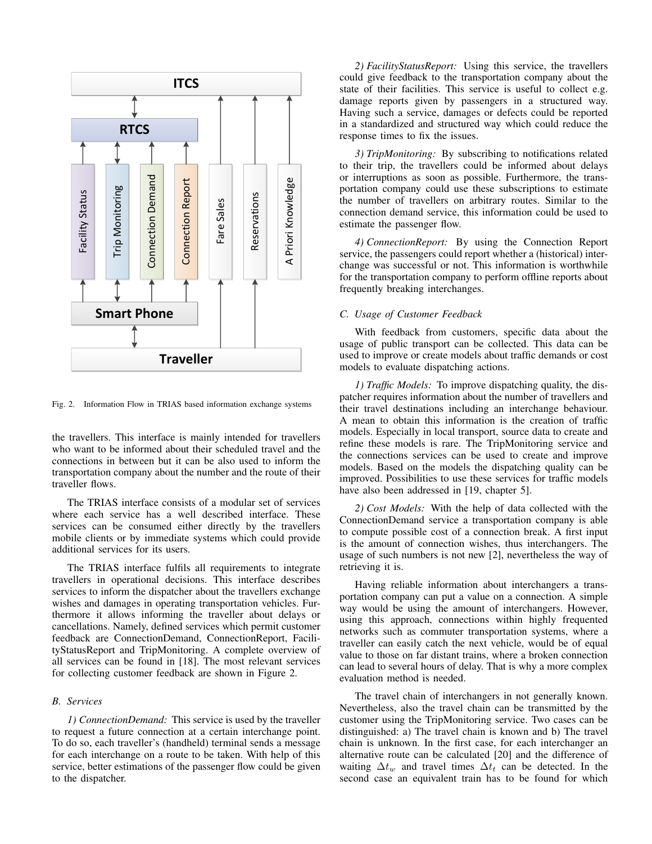

Fig. 2. Information Flow in TRIAS based information exchange systems

the travellers. This interface is mainly intended for travellers who want to be informed about their scheduled travel and the connections in between but it can be also used to inform the transportation company about the number and the route of their traveller flows.

The TRIAS interface consists of a modular set of services where each service has a well described interface. These services can be consumed either directly by the travellers mobile clients or by immediate systems which could provide additional services for its users.

The TRIAS interface fulfils all requirements to integrate travellers in operational decisions. This interface describes services to inform the dispatcher about the travellers exchange wishes and damages in operating transportation vehicles. Furthermore it allows informing the traveller about delays or cancellations. Namely, defined services which permit customer feedback are ConnectionDemand, ConnectionReport, FacilityStatusReport and TripMonitoring. A complete overview of all services can be found in [18]. The most relevant services for collecting customer feedback are shown in Figure 2.

# *B. Services*

*1) ConnectionDemand:* This service is used by the traveller to request a future connection at a certain interchange point. To do so, each traveller's (handheld) terminal sends a message for each interchange on a route to be taken. With help of this service, better estimations of the passenger flow could be given to the dispatcher.

*2) FacilityStatusReport:* Using this service, the travellers could give feedback to the transportation company about the state of their facilities. This service is useful to collect e.g. damage reports given by passengers in a structured way. Having such a service, damages or defects could be reported in a standardized and structured way which could reduce the response times to fix the issues.

*3) TripMonitoring:* By subscribing to notifications related to their trip, the travellers could be informed about delays or interruptions as soon as possible. Furthermore, the transportation company could use these subscriptions to estimate the number of travellers on arbitrary routes. Similar to the connection demand service, this information could be used to estimate the passenger flow.

*4) ConnectionReport:* By using the Connection Report service, the passengers could report whether a (historical) interchange was successful or not. This information is worthwhile for the transportation company to perform offline reports about frequently breaking interchanges.

#### *C. Usage of Customer Feedback*

With feedback from customers, specific data about the usage of public transport can be collected. This data can be used to improve or create models about traffic demands or cost models to evaluate dispatching actions.

*1) Traffic Models:* To improve dispatching quality, the dispatcher requires information about the number of travellers and their travel destinations including an interchange behaviour. A mean to obtain this information is the creation of traffic models. Especially in local transport, source data to create and refine these models is rare. The TripMonitoring service and the connections services can be used to create and improve models. Based on the models the dispatching quality can be improved. Possibilities to use these services for traffic models have also been addressed in [19, chapter 5].

*2) Cost Models:* With the help of data collected with the ConnectionDemand service a transportation company is able to compute possible cost of a connection break. A first input is the amount of connection wishes, thus interchangers. The usage of such numbers is not new [2], nevertheless the way of retrieving it is.

Having reliable information about interchangers a transportation company can put a value on a connection. A simple way would be using the amount of interchangers. However, using this approach, connections within highly frequented networks such as commuter transportation systems, where a traveller can easily catch the next vehicle, would be of equal value to those on far distant trains, where a broken connection can lead to several hours of delay. That is why a more complex evaluation method is needed.

The travel chain of interchangers in not generally known. Nevertheless, also the travel chain can be transmitted by the customer using the TripMonitoring service. Two cases can be distinguished: a) The travel chain is known and b) The travel chain is unknown. In the first case, for each interchanger an alternative route can be calculated [20] and the difference of waiting  $\Delta t_w$  and travel times  $\Delta t_t$  can be detected. In the second case an equivalent train has to be found for which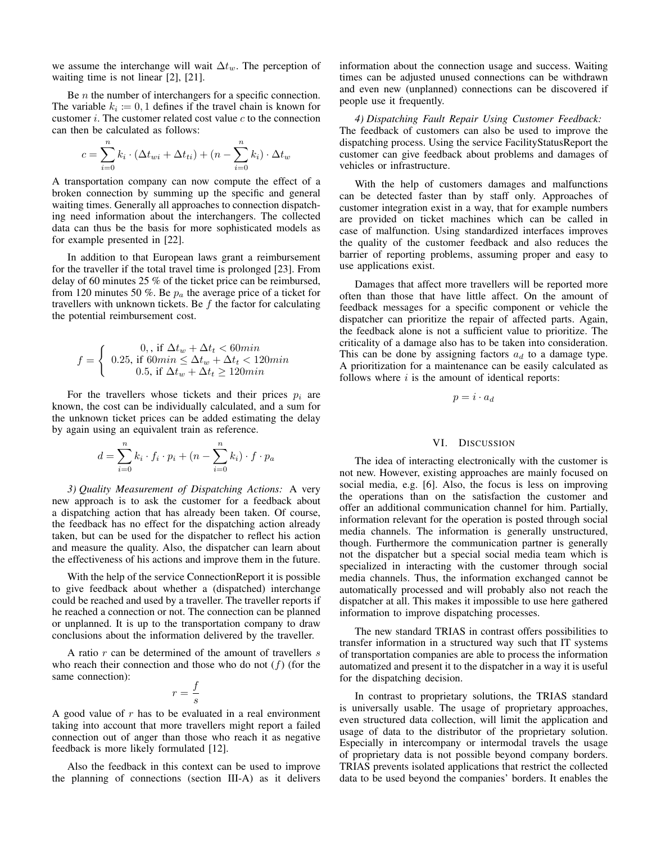we assume the interchange will wait  $\Delta t_w$ . The perception of waiting time is not linear [2], [21].

Be  $n$  the number of interchangers for a specific connection. The variable  $k_i \coloneqq 0, 1$  defines if the travel chain is known for customer  $i$ . The customer related cost value  $c$  to the connection can then be calculated as follows:

$$
c = \sum_{i=0}^{n} k_i \cdot (\Delta t_{wi} + \Delta t_{ti}) + (n - \sum_{i=0}^{n} k_i) \cdot \Delta t_w
$$

A transportation company can now compute the effect of a broken connection by summing up the specific and general waiting times. Generally all approaches to connection dispatching need information about the interchangers. The collected data can thus be the basis for more sophisticated models as for example presented in [22].

In addition to that European laws grant a reimbursement for the traveller if the total travel time is prolonged [23]. From delay of 60 minutes 25 % of the ticket price can be reimbursed, from 120 minutes 50 %. Be  $p_a$  the average price of a ticket for travellers with unknown tickets. Be  $f$  the factor for calculating the potential reimbursement cost.

$$
f = \begin{cases} 0, & \text{if } \Delta t_w + \Delta t_t < 60min \\ 0.25, & \text{if } 60min \le \Delta t_w + \Delta t_t < 120min \\ 0.5, & \text{if } \Delta t_w + \Delta t_t \ge 120min \end{cases}
$$

For the travellers whose tickets and their prices  $p_i$  are known, the cost can be individually calculated, and a sum for the unknown ticket prices can be added estimating the delay by again using an equivalent train as reference.

$$
d = \sum_{i=0}^{n} k_i \cdot f_i \cdot p_i + (n - \sum_{i=0}^{n} k_i) \cdot f \cdot p_a
$$

*3) Quality Measurement of Dispatching Actions:* A very new approach is to ask the customer for a feedback about a dispatching action that has already been taken. Of course, the feedback has no effect for the dispatching action already taken, but can be used for the dispatcher to reflect his action and measure the quality. Also, the dispatcher can learn about the effectiveness of his actions and improve them in the future.

With the help of the service ConnectionReport it is possible to give feedback about whether a (dispatched) interchange could be reached and used by a traveller. The traveller reports if he reached a connection or not. The connection can be planned or unplanned. It is up to the transportation company to draw conclusions about the information delivered by the traveller.

A ratio  $r$  can be determined of the amount of travellers  $s$ who reach their connection and those who do not  $(f)$  (for the same connection):

$$
r = \frac{f}{s}
$$

A good value of  $r$  has to be evaluated in a real environment taking into account that more travellers might report a failed connection out of anger than those who reach it as negative feedback is more likely formulated [12].

Also the feedback in this context can be used to improve the planning of connections (section III-A) as it delivers information about the connection usage and success. Waiting times can be adjusted unused connections can be withdrawn and even new (unplanned) connections can be discovered if people use it frequently.

*4) Dispatching Fault Repair Using Customer Feedback:* The feedback of customers can also be used to improve the dispatching process. Using the service FacilityStatusReport the customer can give feedback about problems and damages of vehicles or infrastructure.

With the help of customers damages and malfunctions can be detected faster than by staff only. Approaches of customer integration exist in a way, that for example numbers are provided on ticket machines which can be called in case of malfunction. Using standardized interfaces improves the quality of the customer feedback and also reduces the barrier of reporting problems, assuming proper and easy to use applications exist.

Damages that affect more travellers will be reported more often than those that have little affect. On the amount of feedback messages for a specific component or vehicle the dispatcher can prioritize the repair of affected parts. Again, the feedback alone is not a sufficient value to prioritize. The criticality of a damage also has to be taken into consideration. This can be done by assigning factors  $a_d$  to a damage type. A prioritization for a maintenance can be easily calculated as follows where  $i$  is the amount of identical reports:

$$
p = i \cdot a_d
$$

## VI. DISCUSSION

The idea of interacting electronically with the customer is not new. However, existing approaches are mainly focused on social media, e.g. [6]. Also, the focus is less on improving the operations than on the satisfaction the customer and offer an additional communication channel for him. Partially, information relevant for the operation is posted through social media channels. The information is generally unstructured, though. Furthermore the communication partner is generally not the dispatcher but a special social media team which is specialized in interacting with the customer through social media channels. Thus, the information exchanged cannot be automatically processed and will probably also not reach the dispatcher at all. This makes it impossible to use here gathered information to improve dispatching processes.

The new standard TRIAS in contrast offers possibilities to transfer information in a structured way such that IT systems of transportation companies are able to process the information automatized and present it to the dispatcher in a way it is useful for the dispatching decision.

In contrast to proprietary solutions, the TRIAS standard is universally usable. The usage of proprietary approaches, even structured data collection, will limit the application and usage of data to the distributor of the proprietary solution. Especially in intercompany or intermodal travels the usage of proprietary data is not possible beyond company borders. TRIAS prevents isolated applications that restrict the collected data to be used beyond the companies' borders. It enables the